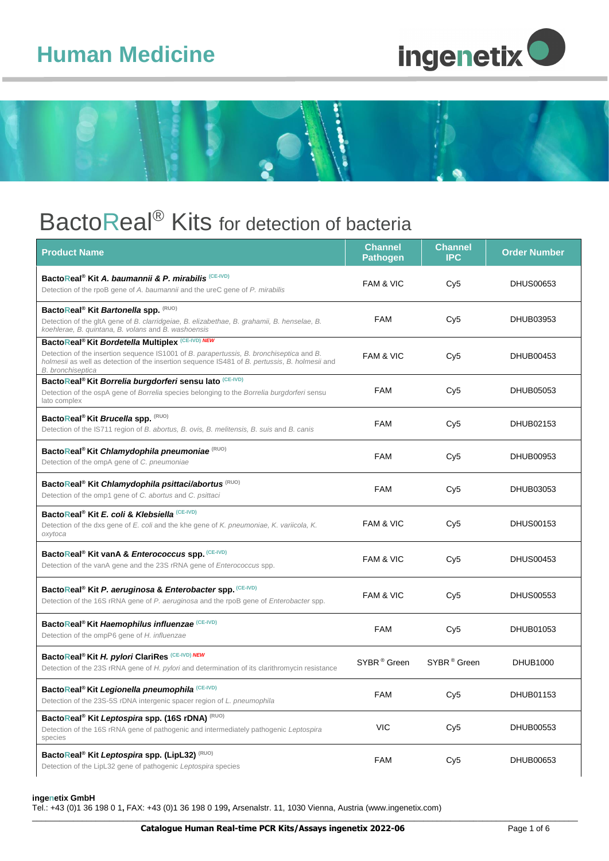## **Human Medicine**





### BactoReal<sup>®</sup> Kits for detection of bacteria

| <b>Product Name</b>                                                                                                                                                                                                                                                                        | <b>Channel</b><br><b>Pathogen</b> | Channel<br><b>IPC</b>   | <b>Order Number</b> |
|--------------------------------------------------------------------------------------------------------------------------------------------------------------------------------------------------------------------------------------------------------------------------------------------|-----------------------------------|-------------------------|---------------------|
| BactoReal <sup>®</sup> Kit A. baumannii & P. mirabilis <sup>(CE-IVD)</sup><br>Detection of the rpoB gene of A. baumannii and the ureC gene of P. mirabilis                                                                                                                                 | <b>FAM &amp; VIC</b>              | Cy5                     | <b>DHUS00653</b>    |
| BactoReal <sup>®</sup> Kit Bartonella spp. (RUO)<br>Detection of the gltA gene of B. clarridgeiae, B. elizabethae, B. grahamii, B. henselae, B.<br>koehlerae, B. quintana, B. volans and B. washoensis                                                                                     | <b>FAM</b>                        | Cy <sub>5</sub>         | DHUB03953           |
| BactoReal <sup>®</sup> Kit Bordetella Multiplex <sup>(CE-IVD)</sup> NEW<br>Detection of the insertion sequence IS1001 of B. parapertussis, B. bronchiseptica and B.<br>holmesii as well as detection of the insertion sequence IS481 of B. pertussis, B. holmesii and<br>B. bronchiseptica | <b>FAM &amp; VIC</b>              | Cy <sub>5</sub>         | <b>DHUB00453</b>    |
| BactoReal <sup>®</sup> Kit Borrelia burgdorferi sensu lato <sup>(CE-IVD)</sup><br>Detection of the ospA gene of Borrelia species belonging to the Borrelia burgdorferi sensu<br>lato complex                                                                                               | <b>FAM</b>                        | Cy5                     | DHUB05053           |
| BactoReal <sup>®</sup> Kit Brucella spp. (RUO)<br>Detection of the IS711 region of B. abortus, B. ovis, B. melitensis, B. suis and B. canis                                                                                                                                                | <b>FAM</b>                        | Cy <sub>5</sub>         | DHUB02153           |
| BactoReal <sup>®</sup> Kit Chlamydophila pneumoniae <sup>(RUO)</sup><br>Detection of the ompA gene of C. pneumoniae                                                                                                                                                                        | <b>FAM</b>                        | Cy <sub>5</sub>         | DHUB00953           |
| BactoReal <sup>®</sup> Kit Chlamydophila psittaci/abortus <sup>(RUO)</sup><br>Detection of the omp1 gene of C. abortus and C. psittaci                                                                                                                                                     | <b>FAM</b>                        | Cy5                     | DHUB03053           |
| BactoReal <sup>®</sup> Kit E. coli & Klebsiella <sup>(CE-IVD)</sup><br>Detection of the dxs gene of E. coli and the khe gene of K. pneumoniae, K. variicola, K.<br>oxytoca                                                                                                                 | <b>FAM &amp; VIC</b>              | Cy <sub>5</sub>         | <b>DHUS00153</b>    |
| BactoReal <sup>®</sup> Kit vanA & Enterococcus spp. (CE-IVD)<br>Detection of the vanA gene and the 23S rRNA gene of Enterococcus spp.                                                                                                                                                      | FAM & VIC                         | Cy <sub>5</sub>         | <b>DHUS00453</b>    |
| BactoReal <sup>®</sup> Kit P. aeruginosa & Enterobacter spp. (CE-IVD)<br>Detection of the 16S rRNA gene of P. aeruginosa and the rpoB gene of Enterobacter spp.                                                                                                                            | FAM & VIC                         | Cy <sub>5</sub>         | <b>DHUS00553</b>    |
| BactoReal <sup>®</sup> Kit Haemophilus influenzae (CE-IVD)<br>Detection of the ompP6 gene of H. influenzae                                                                                                                                                                                 | <b>FAM</b>                        | Cy <sub>5</sub>         | DHUB01053           |
| BactoReal® Kit H. pylori ClariRes (CE-IVD) NEW<br>Detection of the 23S rRNA gene of H. pylori and determination of its clarithromycin resistance                                                                                                                                           | SYBR <sup>®</sup> Green           | SYBR <sup>®</sup> Green | DHUB1000            |
| BactoReal <sup>®</sup> Kit Legionella pneumophila <sup>(CE-IVD)</sup><br>Detection of the 23S-5S rDNA intergenic spacer region of L. pneumophila                                                                                                                                           | FAM                               | Cy <sub>5</sub>         | DHUB01153           |
| BactoReal <sup>®</sup> Kit Leptospira spp. (16S rDNA) (RUO)<br>Detection of the 16S rRNA gene of pathogenic and intermediately pathogenic Leptospira<br>species                                                                                                                            | <b>VIC</b>                        | Cy <sub>5</sub>         | DHUB00553           |
| BactoReal <sup>®</sup> Kit Leptospira spp. (LipL32) <sup>(RUO)</sup><br>Detection of the LipL32 gene of pathogenic Leptospira species                                                                                                                                                      | <b>FAM</b>                        | Cy <sub>5</sub>         | DHUB00653           |

#### **ingenetix GmbH**

Tel.: +43 (0)1 36 198 0 1**,** FAX: +43 (0)1 36 198 0 199**,** Arsenalstr. 11, 1030 Vienna, Austria [\(www.ingenetix.com\)](http://www.ingenetix.com/)

\_\_\_\_\_\_\_\_\_\_\_\_\_\_\_\_\_\_\_\_\_\_\_\_\_\_\_\_\_\_\_\_\_\_\_\_\_\_\_\_\_\_\_\_\_\_\_\_\_\_\_\_\_\_\_\_\_\_\_\_\_\_\_\_\_\_\_\_\_\_\_\_\_\_\_\_\_\_\_\_\_\_\_\_\_\_\_\_\_\_\_\_\_\_\_\_\_\_\_\_\_\_\_\_\_\_\_\_\_\_\_\_\_\_\_\_\_\_\_\_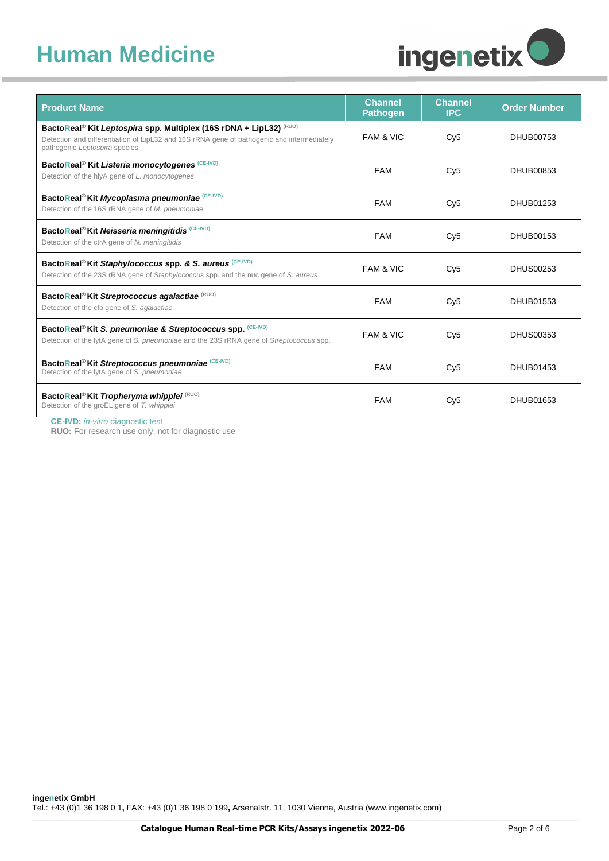## **Human Medicine**



| <b>Product Name</b>                                                                                                                                                                                                      | <b>Channel</b><br><b>Pathogen</b> | <b>Channel</b><br><b>IPC</b> | <b>Order Number</b> |
|--------------------------------------------------------------------------------------------------------------------------------------------------------------------------------------------------------------------------|-----------------------------------|------------------------------|---------------------|
| BactoReal <sup>®</sup> Kit Leptospira spp. Multiplex (16S rDNA + LipL32) <sup>(RUO)</sup><br>Detection and differentiation of LipL32 and 16S rRNA gene of pathogenic and intermediately<br>pathogenic Leptospira species | <b>FAM &amp; VIC</b>              | Cv5                          | DHUB00753           |
| BactoReal <sup>®</sup> Kit Listeria monocytogenes <sup>(CE-IVD)</sup><br>Detection of the hlyA gene of L. monocytogenes                                                                                                  | <b>FAM</b>                        | Cv5                          | DHUB00853           |
| BactoReal® Kit Mycoplasma pneumoniae (CE-IVD)<br>Detection of the 16S rRNA gene of M. pneumoniae                                                                                                                         | <b>FAM</b>                        | Cy5                          | DHUB01253           |
| BactoReal <sup>®</sup> Kit Neisseria meningitidis (CE-IVD)<br>Detection of the ctrA gene of N. meningitidis                                                                                                              | <b>FAM</b>                        | Cv5                          | DHUB00153           |
| BactoReal <sup>®</sup> Kit Staphylococcus spp. & S. aureus <sup>(CE-IVD)</sup><br>Detection of the 23S rRNA gene of Staphylococcus spp. and the nuc gene of S. aureus                                                    | <b>FAM &amp; VIC</b>              | Cv5                          | DHUS00253           |
| BactoReal <sup>®</sup> Kit Streptococcus agalactiae (RUO)<br>Detection of the cfb gene of S. agalactiae                                                                                                                  | <b>FAM</b>                        | Cv5                          | DHUB01553           |
| BactoReal <sup>®</sup> Kit S. pneumoniae & Streptococcus spp. <sup>(CE-IVD)</sup><br>Detection of the lytA gene of S. pneumoniae and the 23S rRNA gene of Streptococcus spp.                                             | FAM & VIC                         | Cv5                          | DHUS00353           |
| BactoReal <sup>®</sup> Kit Streptococcus pneumoniae (CE-IVD)<br>Detection of the lytA gene of S. pneumoniae                                                                                                              | <b>FAM</b>                        | Cy5                          | DHUB01453           |
| BactoReal <sup>®</sup> Kit Tropheryma whipplei <sup>(RUO)</sup><br>Detection of the groEL gene of T. whipplei                                                                                                            | <b>FAM</b>                        | Cv5                          | DHUB01653           |

**CE-IVD:** *in-vitro* diagnostic test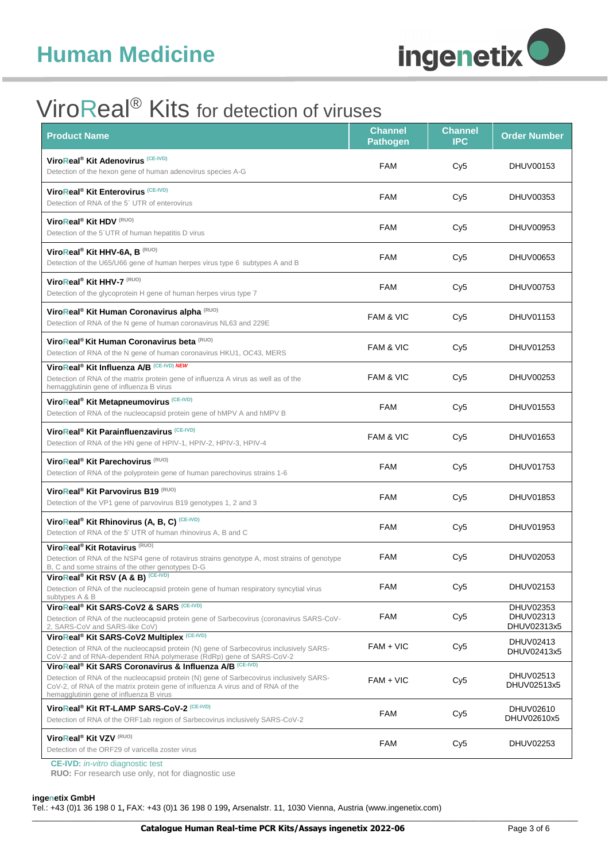

## ViroReal® Kits for detection of viruses

| <b>Product Name</b>                                                                                                                                                                                                                                                                          | Channel<br><b>Pathogen</b> | <b>Channel</b><br><b>IPC</b> | <b>Order Number</b>                   |
|----------------------------------------------------------------------------------------------------------------------------------------------------------------------------------------------------------------------------------------------------------------------------------------------|----------------------------|------------------------------|---------------------------------------|
| ViroReal <sup>®</sup> Kit Adenovirus <sup>(CE-IVD)</sup><br>Detection of the hexon gene of human adenovirus species A-G                                                                                                                                                                      | <b>FAM</b>                 | Cy <sub>5</sub>              | DHUV00153                             |
| ViroReal <sup>®</sup> Kit Enterovirus <sup>(CE-IVD)</sup><br>Detection of RNA of the 5' UTR of enterovirus                                                                                                                                                                                   | <b>FAM</b>                 | Cy <sub>5</sub>              | DHUV00353                             |
| ViroReal <sup>®</sup> Kit HDV <sup>(RUO)</sup><br>Detection of the 5'UTR of human hepatitis D virus                                                                                                                                                                                          | <b>FAM</b>                 | Cy <sub>5</sub>              | DHUV00953                             |
| ViroReal <sup>®</sup> Kit HHV-6A, B (RUO)<br>Detection of the U65/U66 gene of human herpes virus type 6 subtypes A and B                                                                                                                                                                     | <b>FAM</b>                 | Cy <sub>5</sub>              | DHUV00653                             |
| ViroReal <sup>®</sup> Kit HHV-7 <sup>(RUO)</sup><br>Detection of the glycoprotein H gene of human herpes virus type 7                                                                                                                                                                        | <b>FAM</b>                 | Cy <sub>5</sub>              | DHUV00753                             |
| ViroReal <sup>®</sup> Kit Human Coronavirus alpha <sup>(RUO)</sup><br>Detection of RNA of the N gene of human coronavirus NL63 and 229E                                                                                                                                                      | <b>FAM &amp; VIC</b>       | Cy <sub>5</sub>              | DHUV01153                             |
| ViroReal <sup>®</sup> Kit Human Coronavirus beta (RUO)<br>Detection of RNA of the N gene of human coronavirus HKU1, OC43, MERS                                                                                                                                                               | FAM & VIC                  | Cy <sub>5</sub>              | DHUV01253                             |
| ViroReal <sup>®</sup> Kit Influenza A/B (CE-IVD) NEW<br>Detection of RNA of the matrix protein gene of influenza A virus as well as of the<br>hemagglutinin gene of influenza B virus                                                                                                        | <b>FAM &amp; VIC</b>       | Cy <sub>5</sub>              | DHUV00253                             |
| ViroReal <sup>®</sup> Kit Metapneumovirus <sup>(CE-IVD)</sup><br>Detection of RNA of the nucleocapsid protein gene of hMPV A and hMPV B                                                                                                                                                      | FAM                        | Cy <sub>5</sub>              | DHUV01553                             |
| ViroReal <sup>®</sup> Kit Parainfluenzavirus <sup>(CE-IVD)</sup><br>Detection of RNA of the HN gene of HPIV-1, HPIV-2, HPIV-3, HPIV-4                                                                                                                                                        | FAM & VIC                  | Cy <sub>5</sub>              | DHUV01653                             |
| ViroReal <sup>®</sup> Kit Parechovirus <sup>(RUO)</sup><br>Detection of RNA of the polyprotein gene of human parechovirus strains 1-6                                                                                                                                                        | FAM                        | Cy <sub>5</sub>              | DHUV01753                             |
| ViroReal <sup>®</sup> Kit Parvovirus B19 <sup>(RUO)</sup><br>Detection of the VP1 gene of parvovirus B19 genotypes 1, 2 and 3                                                                                                                                                                | <b>FAM</b>                 | Cy <sub>5</sub>              | DHUV01853                             |
| ViroReal <sup>®</sup> Kit Rhinovirus (A, B, C) (CE-IVD)<br>Detection of RNA of the 5' UTR of human rhinovirus A, B and C                                                                                                                                                                     | <b>FAM</b>                 | Cy <sub>5</sub>              | DHUV01953                             |
| ViroReal <sup>®</sup> Kit Rotavirus <sup>(RUO)</sup><br>Detection of RNA of the NSP4 gene of rotavirus strains genotype A, most strains of genotype<br>B, C and some strains of the other genotypes D-G                                                                                      | FAM                        | Cy <sub>5</sub>              | DHUV02053                             |
| ViroReal <sup>®</sup> Kit RSV (A & B) (CE-IVD)<br>Detection of RNA of the nucleocapsid protein gene of human respiratory syncytial virus<br>subtypes A & B                                                                                                                                   | <b>FAM</b>                 | Cy <sub>5</sub>              | DHUV02153                             |
| ViroReal® Kit SARS-CoV2 & SARS (CE-IVD)<br>Detection of RNA of the nucleocapsid protein gene of Sarbecovirus (coronavirus SARS-CoV-<br>2, SARS-CoV and SARS-like CoV)                                                                                                                        | FAM                        | Cy <sub>5</sub>              | DHUV02353<br>DHUV02313<br>DHUV02313x5 |
| ViroReal <sup>®</sup> Kit SARS-CoV2 Multiplex <sup>(CE-IVD)</sup><br>Detection of RNA of the nucleocapsid protein (N) gene of Sarbecovirus inclusively SARS-<br>CoV-2 and of RNA-dependent RNA polymerase (RdRp) gene of SARS-CoV-2                                                          | FAM + VIC                  | Cy <sub>5</sub>              | DHUV02413<br>DHUV02413x5              |
| ViroReal <sup>®</sup> Kit SARS Coronavirus & Influenza A/B (CE-IVD)<br>Detection of RNA of the nucleocapsid protein (N) gene of Sarbecovirus inclusively SARS-<br>CoV-2, of RNA of the matrix protein gene of influenza A virus and of RNA of the<br>hemagglutinin gene of influenza B virus | FAM + VIC                  | Cy <sub>5</sub>              | DHUV02513<br>DHUV02513x5              |
| ViroReal <sup>®</sup> Kit RT-LAMP SARS-CoV-2 <sup>(CE-IVD)</sup><br>Detection of RNA of the ORF1ab region of Sarbecovirus inclusively SARS-CoV-2                                                                                                                                             | FAM                        | Cy <sub>5</sub>              | DHUV02610<br>DHUV02610x5              |
| ViroReal <sup>®</sup> Kit VZV <sup>(RUO)</sup><br>Detection of the ORF29 of varicella zoster virus                                                                                                                                                                                           | <b>FAM</b>                 | Cy <sub>5</sub>              | DHUV02253                             |

**CE-IVD:** *in-vitro* diagnostic test

**RUO:** For research use only, not for diagnostic use

#### **ingenetix GmbH**

Tel.: +43 (0)1 36 198 0 1**,** FAX: +43 (0)1 36 198 0 199**,** Arsenalstr. 11, 1030 Vienna, Austria [\(www.ingenetix.com\)](http://www.ingenetix.com/)

\_\_\_\_\_\_\_\_\_\_\_\_\_\_\_\_\_\_\_\_\_\_\_\_\_\_\_\_\_\_\_\_\_\_\_\_\_\_\_\_\_\_\_\_\_\_\_\_\_\_\_\_\_\_\_\_\_\_\_\_\_\_\_\_\_\_\_\_\_\_\_\_\_\_\_\_\_\_\_\_\_\_\_\_\_\_\_\_\_\_\_\_\_\_\_\_\_\_\_\_\_\_\_\_\_\_\_\_\_\_\_\_\_\_\_\_\_\_\_\_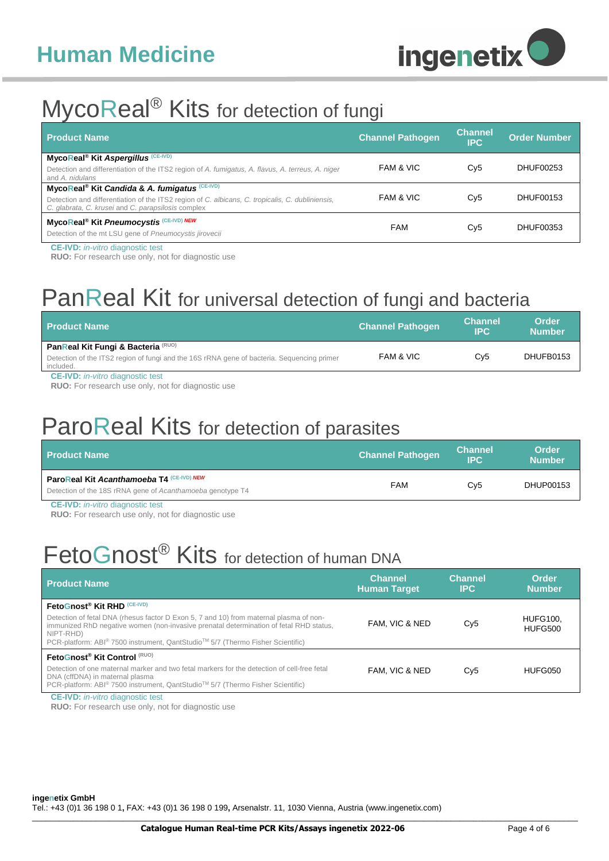

### MycoReal<sup>®</sup> Kits for detection of fungi

| <b>Product Name</b>                                                                                                                                    | <b>Channel Pathogen</b> | <b>Channel</b><br><b>IPC</b> | <b>Order Number</b> |
|--------------------------------------------------------------------------------------------------------------------------------------------------------|-------------------------|------------------------------|---------------------|
| MycoReal <sup>®</sup> Kit Aspergillus <sup>(CE-IVD)</sup>                                                                                              | FAM & VIC               | Cy5                          | DHUF00253           |
| Detection and differentiation of the ITS2 region of A. fumigatus, A. flavus, A. terreus, A. niger<br>and A. nidulans                                   |                         |                              |                     |
| MycoReal <sup>®</sup> Kit Candida & A. fumigatus (CE-IVD)                                                                                              |                         |                              |                     |
| Detection and differentiation of the ITS2 region of C. albicans, C. tropicalis, C. dubliniensis,<br>C. glabrata, C. krusei and C. parapsilosis complex | FAM & VIC               | Cy5                          | DHUF00153           |
| MycoReal <sup>®</sup> Kit Pneumocystis <sup>(CE-IVD)</sup> NEW                                                                                         | <b>FAM</b>              | Cy5                          | DHUF00353           |
| Detection of the mt LSU gene of Pneumocystis jirovecii                                                                                                 |                         |                              |                     |

**CE-IVD:** *in-vitro* diagnostic test

**RUO:** For research use only, not for diagnostic use

## PanReal Kit for universal detection of fungi and bacteria

| <b>Product Name</b>                                                                                                                           | <b>Channel Pathogen</b> | <b>Channel</b><br>IPC. | Order<br><b>Number</b> |
|-----------------------------------------------------------------------------------------------------------------------------------------------|-------------------------|------------------------|------------------------|
| PanReal Kit Fungi & Bacteria (RUO)<br>Detection of the ITS2 region of fungi and the 16S rRNA gene of bacteria. Sequencing primer<br>included. | FAM & VIC               | Cv <sub>5</sub>        | DHUFB0153              |

**CE-IVD:** *in-vitro* diagnostic test

**RUO:** For research use only, not for diagnostic use

## ParoReal Kits for detection of parasites

| <b>Product Name</b>                                                                                     | <b>Channel Pathogen</b> | <b>Channel</b><br><b>IPC</b> | <b>Order</b><br><b>Number</b> |
|---------------------------------------------------------------------------------------------------------|-------------------------|------------------------------|-------------------------------|
| ParoReal Kit Acanthamoeba T4 (CE-IVD) NEW<br>Detection of the 18S rRNA gene of Acanthamoeba genotype T4 | <b>FAM</b>              | Cv5                          | DHUP00153                     |

**CE-IVD:** *in-vitro* diagnostic test

**RUO:** For research use only, not for diagnostic use

# FetoGnost<sup>®</sup> Kits for detection of human DNA

| <b>Product Name</b>                                                                                                                                                                                                                                                                                                        | <b>Channel</b><br><b>Human Target</b> | <b>Channel</b><br><b>IPC</b> | Order<br><b>Number</b>            |
|----------------------------------------------------------------------------------------------------------------------------------------------------------------------------------------------------------------------------------------------------------------------------------------------------------------------------|---------------------------------------|------------------------------|-----------------------------------|
| FetoGnost® Kit RHD (CE-IVD)<br>Detection of fetal DNA (rhesus factor D Exon 5, 7 and 10) from maternal plasma of non-<br>immunized RhD negative women (non-invasive prenatal determination of fetal RHD status,<br>NIPT-RHD)<br>PCR-platform: ABI <sup>®</sup> 7500 instrument, QantStudio™ 5/7 (Thermo Fisher Scientific) | FAM, VIC & NED                        | Cv5                          | <b>HUFG100,</b><br><b>HUFG500</b> |
| FetoGnost <sup>®</sup> Kit Control (RUO)<br>Detection of one maternal marker and two fetal markers for the detection of cell-free fetal<br>DNA (cffDNA) in maternal plasma<br>PCR-platform: ABI <sup>®</sup> 7500 instrument, QantStudio <sup>™</sup> 5/7 (Thermo Fisher Scientific)                                       | FAM. VIC & NED                        | Cy5                          | HUFG050                           |

**CE-IVD:** *in-vitro* diagnostic test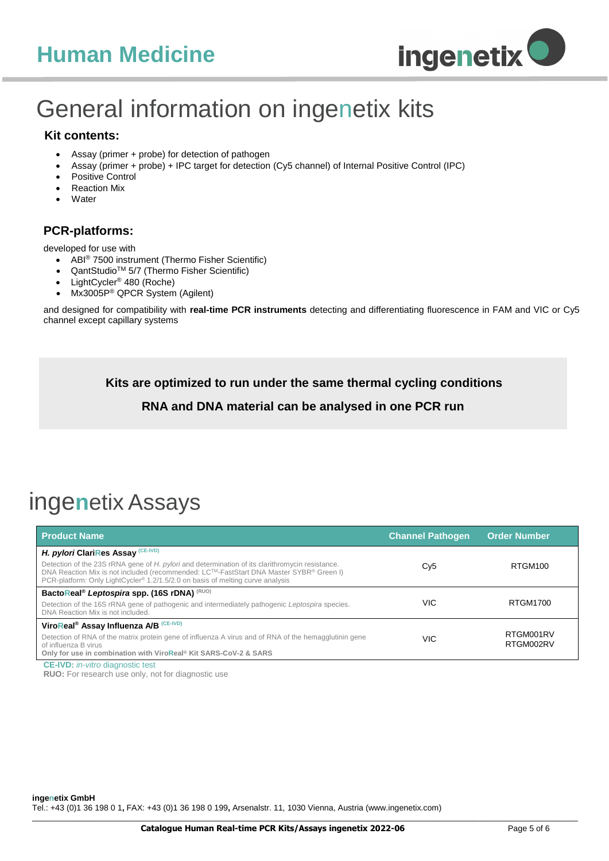## **Human Medicine**



# General information on ingenetix kits

#### **Kit contents:**

- Assay (primer + probe) for detection of pathogen
- Assay (primer + probe) + IPC target for detection (Cy5 channel) of Internal Positive Control (IPC)
- Positive Control
- Reaction Mix
- **Water**

#### **PCR-platforms:**

developed for use with

- ABI® 7500 instrument (Thermo Fisher Scientific)
- QantStudio<sup>™</sup> 5/7 (Thermo Fisher Scientific)
- LightCycler® 480 (Roche)
- Mx3005P® QPCR System (Agilent)

and designed for compatibility with **real-time PCR instruments** detecting and differentiating fluorescence in FAM and VIC or Cy5 channel except capillary systems

**Kits are optimized to run under the same thermal cycling conditions**

#### **RNA and DNA material can be analysed in one PCR run**

## inge**n**etix Assays

| <b>Product Name</b>                                                                                                                                                                                                                                                                                                                        | <b>Channel Pathogen</b> | <b>Order Number</b>    |
|--------------------------------------------------------------------------------------------------------------------------------------------------------------------------------------------------------------------------------------------------------------------------------------------------------------------------------------------|-------------------------|------------------------|
| H. pylori ClariRes Assay (CE-IVD)<br>Detection of the 23S rRNA gene of H. pylori and determination of its clarithromycin resistance.<br>DNA Reaction Mix is not included (recommended: LC <sup>TM</sup> -FastStart DNA Master SYBR® Green I)<br>PCR-platform: Only LightCycler <sup>®</sup> 1.2/1.5/2.0 on basis of melting curve analysis | Cy <sub>5</sub>         | RTGM100                |
| BactoReal <sup>®</sup> Leptospira spp. (16S rDNA) <sup>(RUO)</sup><br>Detection of the 16S rRNA gene of pathogenic and intermediately pathogenic Leptospira species.<br>DNA Reaction Mix is not included.                                                                                                                                  | <b>VIC</b>              | RTGM1700               |
| ViroReal <sup>®</sup> Assay Influenza A/B (CE-IVD)<br>Detection of RNA of the matrix protein gene of influenza A virus and of RNA of the hemagglutinin gene<br>of influenza B virus<br>Only for use in combination with ViroReal <sup>®</sup> Kit SARS-CoV-2 & SARS                                                                        | VIC                     | RTGM001RV<br>RTGM002RV |
| <b>CE-IVD:</b> <i>in-vitro</i> diagnostic test                                                                                                                                                                                                                                                                                             |                         |                        |